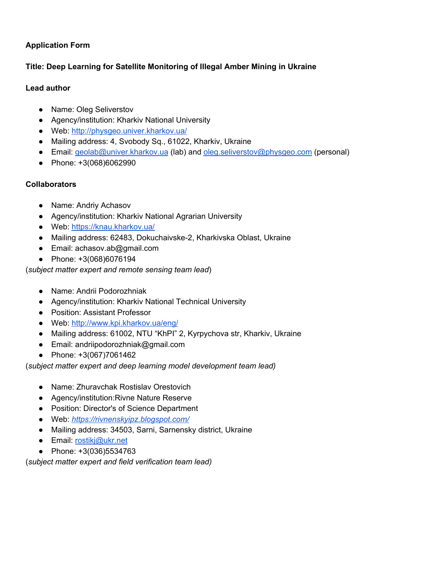# **Application Form**

# **Title: Deep Learning for Satellite Monitoring of Illegal Amber Mining in Ukraine**

## **Lead author**

- Name: Oleg Seliverstov
- Agency/institution: Kharkiv National University
- Web: <http://physgeo.univer.kharkov.ua/>
- Mailing address: 4, Svobody Sq., 61022, Kharkiv, Ukraine
- Email: [geolab@univer.kharkov.ua](mailto:geolab@univer.kharkov.ua) (lab) and [oleg.seliverstov@physgeo.com](mailto:oleg.seliverstov@physgeo.com) (personal)
- Phone: +3(068)6062990

# **Collaborators**

- Name: Andriy Achasov
- Agency/institution: Kharkiv National Agrarian University
- Web: <https://knau.kharkov.ua/>
- Mailing address: 62483, Dokuchaivske-2, Kharkivska Oblast, Ukraine
- Email: achasov.ab@gmail.com
- Phone: +3(068)6076194

## (*subject matter expert and remote sensing team lead*)

- Name: Andrii Podorozhniak
- Agency/institution: Kharkiv National Technical University
- Position: Assistant Professor
- Web: <http://www.kpi.kharkov.ua/eng/>
- Mailing address: 61002, NTU "KhPI" 2, Kyrpychova str, Kharkiv, Ukraine
- Email: andriipodorozhniak@gmail.com
- Phone: +3(067)7061462

## (*subject matter expert and deep learning model development team lead)*

- Name: Zhuravchak Rostislav Orestovich
- Agency/institution:Rivne Nature Reserve
- Position: Director's of Science Department
- Web: *<https://rivnenskyipz.blogspot.com/>*
- Mailing address: 34503, Sarni, Sarnensky district, Ukraine
- Email: [rostikj@ukr.net](mailto:rostikj@ukr.net)
- Phone: +3(036)5534763

(*subject matter expert and field verification team lead)*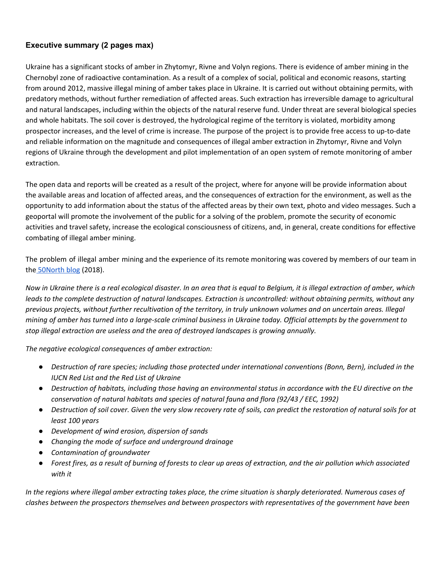## **Executive summary (2 pages max)**

Ukraine has a significant stocks of amber in Zhytomyr, Rivne and Volyn regions. There is evidence of amber mining in the Chernobyl zone of radioactive contamination. As a result of a complex of social, political and economic reasons, starting from around 2012, massive illegal mining of amber takes place in Ukraine. It is carried out without obtaining permits, with predatory methods, without further remediation of affected areas. Such extraction has irreversible damage to agricultural and natural landscapes, including within the objects of the natural reserve fund. Under threat are several biological species and whole habitats. The soil cover is destroyed, the hydrological regime of the territory is violated, morbidity among prospector increases, and the level of crime is increase. The purpose of the project is to provide free access to up-to-date and reliable information on the magnitude and consequences of illegal amber extraction in Zhytomyr, Rivne and Volyn regions of Ukraine through the development and pilot implementation of an open system of remote monitoring of amber extraction.

The open data and reports will be created as a result of the project, where for anyone will be provide information about the available areas and location of affected areas, and the consequences of extraction for the environment, as well as the opportunity to add information about the status of the affected areas by their own text, photo and video messages. Such a geoportal will promote the involvement of the public for a solving of the problem, promote the security of economic activities and travel safety, increase the ecological consciousness of citizens, and, in general, create conditions for effective combating of illegal amber mining.

The problem of illegal amber mining and the experience of its remote monitoring was covered by members of our team in the [50North](http://www.50northspatial.org/remote-sensing-vs-amber-mafia-ukraine/) blog (2018).

Now in Ukraine there is a real ecological disaster. In an area that is equal to Belgium, it is illegal extraction of amber, which leads to the complete destruction of natural landscapes. Extraction is uncontrolled: without obtaining permits, without any previous projects, without further recultivation of the territory, in truly unknown volumes and on uncertain areas. Illegal mining of amber has turned into a large-scale criminal business in Ukraine today. Official attempts by the government to *stop illegal extraction are useless and the area of destroyed landscapes is growing annually.*

*The negative ecological consequences of amber extraction:*

- Destruction of rare species; including those protected under international conventions (Bonn, Bern), included in the *IUCN Red List and the Red List of Ukraine*
- Destruction of habitats, including those having an environmental status in accordance with the EU directive on the *conservation of natural habitats and species of natural fauna and flora (92/43 / EEC, 1992)*
- Destruction of soil cover. Given the very slow recovery rate of soils, can predict the restoration of natural soils for at *least 100 years*
- *● Development of wind erosion, dispersion of sands*
- *● Changing the mode of surface and underground drainage*
- *● Contamination of groundwater*
- Forest fires, as a result of burning of forests to clear up areas of extraction, and the air pollution which associated *with it*

In the regions where illegal amber extracting takes place, the crime situation is sharply deteriorated. Numerous cases of *clashes between the prospectors themselves and between prospectors with representatives of the government have been*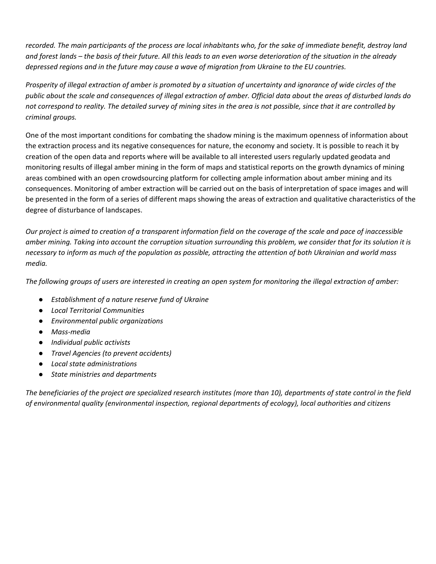recorded. The main participants of the process are local inhabitants who, for the sake of immediate benefit, destroy land and forest lands – the basis of their future. All this leads to an even worse deterioration of the situation in the already depressed regions and in the future may cause a wave of migration from Ukraine to the EU countries.

Prosperity of illegal extraction of amber is promoted by a situation of uncertainty and ignorance of wide circles of the public about the scale and consequences of illegal extraction of amber. Official data about the areas of disturbed lands do not correspond to reality. The detailed survey of mining sites in the area is not possible, since that it are controlled by *criminal groups.*

One of the most important conditions for combating the shadow mining is the maximum openness of information about the extraction process and its negative consequences for nature, the economy and society. It is possible to reach it by creation of the open data and reports where will be available to all interested users regularly updated geodata and monitoring results of illegal amber mining in the form of maps and statistical reports on the growth dynamics of mining areas combined with an open crowdsourcing platform for collecting ample information about amber mining and its consequences. Monitoring of amber extraction will be carried out on the basis of interpretation of space images and will be presented in the form of a series of different maps showing the areas of extraction and qualitative characteristics of the degree of disturbance of landscapes.

Our project is aimed to creation of a transparent information field on the coverage of the scale and pace of inaccessible amber mining. Taking into account the corruption situation surrounding this problem, we consider that for its solution it is necessary to inform as much of the population as possible, attracting the attention of both Ukrainian and world mass *media.*

The following groups of users are interested in creating an open system for monitoring the illegal extraction of amber:

- *● Establishment of a nature reserve fund of Ukraine*
- *● Local Territorial Communities*
- *● Environmental public organizations*
- *● Mass-media*
- *● Individual public activists*
- *● Travel Agencies (to prevent accidents)*
- *● Local state administrations*
- *● State ministries and departments*

The beneficiaries of the project are specialized research institutes (more than 10), departments of state control in the field *of environmental quality (environmental inspection, regional departments of ecology), local authorities and citizens*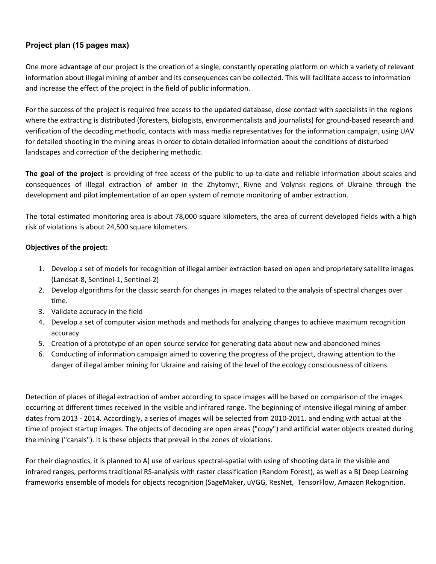## **Project plan (15 pages max)**

One more advantage of our project is the creation of a single, constantly operating platform on which a variety of relevant information about illegal mining of amber and its consequences can be collected. This will facilitate access to information and increase the effect of the project in the field of public information.

For the success of the project is required free access to the updated database, close contact with specialists in the regions where the extracting is distributed (foresters, biologists, environmentalists and journalists) for ground-based research and verification of the decoding methodic, contacts with mass media representatives for the information campaign, using UAV for detailed shooting in the mining areas in order to obtain detailed information about the conditions of disturbed landscapes and correction of the deciphering methodic.

**The goal of the project** is providing of free access of the public to up-to-date and reliable information about scales and consequences of illegal extraction of amber in the Zhytomyr, Rivne and Volynsk regions of Ukraine through the development and pilot implementation of an open system of remote monitoring of amber extraction.

The total estimated monitoring area is about 78,000 square kilometers, the area of current developed fields with a high risk of violations is about 24,500 square kilometers.

### **Objectives of the project:**

- 1. Develop a set of models for recognition of illegal amber extraction based on open and proprietary satellite images (Landsat-8, Sentinel-1, Sentinel-2)
- 2. Develop algorithms for the classic search for changes in images related to the analysis of spectral changes over time.
- 3. Validate accuracy in the field
- 4. Develop a set of computer vision methods and methods for analyzing changes to achieve maximum recognition accuracy
- 5. Creation of a prototype of an open source service for generating data about new and abandoned mines
- 6. Conducting of information campaign aimed to covering the progress of the project, drawing attention to the danger of illegal amber mining for Ukraine and raising of the level of the ecology consciousness of citizens.

Detection of places of illegal extraction of amber according to space images will be based on comparison of the images occurring at different times received in the visible and infrared range. The beginning of intensive illegal mining of amber dates from 2013 - 2014. Accordingly, a series of images will be selected from 2010-2011. and ending with actual at the time of project startup images. The objects of decoding are open areas ("copy") and artificial water objects created during the mining ("canals"). It is these objects that prevail in the zones of violations.

For their diagnostics, it is planned to A) use of various spectral-spatial with using of shooting data in the visible and infrared ranges, performs traditional RS-analysis with raster classification (Random Forest), as well as a B) Deep Learning frameworks ensemble of models for objects recognition (SageMaker, uVGG, ResNet, TensorFlow, Amazon Rekognition.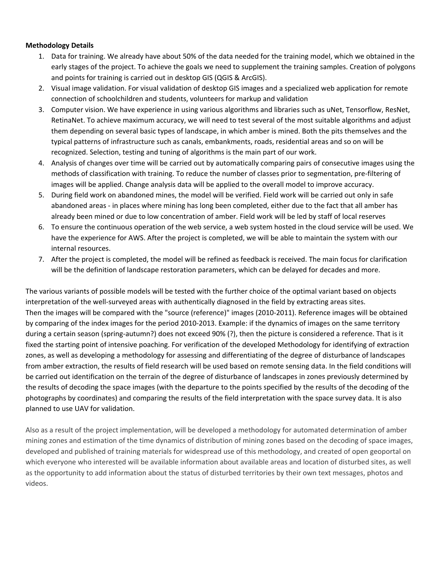#### **Methodology Details**

- 1. Data for training. We already have about 50% of the data needed for the training model, which we obtained in the early stages of the project. To achieve the goals we need to supplement the training samples. Creation of polygons and points for training is carried out in desktop GIS (QGIS & ArcGIS).
- 2. Visual image validation. For visual validation of desktop GIS images and a specialized web application for remote connection of schoolchildren and students, volunteers for markup and validation
- 3. Computer vision. We have experience in using various algorithms and libraries such as uNet, Tensorflow, ResNet, RetinaNet. To achieve maximum accuracy, we will need to test several of the most suitable algorithms and adjust them depending on several basic types of landscape, in which amber is mined. Both the pits themselves and the typical patterns of infrastructure such as canals, embankments, roads, residential areas and so on will be recognized. Selection, testing and tuning of algorithms is the main part of our work.
- 4. Analysis of changes over time will be carried out by automatically comparing pairs of consecutive images using the methods of classification with training. To reduce the number of classes prior to segmentation, pre-filtering of images will be applied. Change analysis data will be applied to the overall model to improve accuracy.
- 5. During field work on abandoned mines, the model will be verified. Field work will be carried out only in safe abandoned areas - in places where mining has long been completed, either due to the fact that all amber has already been mined or due to low concentration of amber. Field work will be led by staff of local reserves
- 6. To ensure the continuous operation of the web service, a web system hosted in the cloud service will be used. We have the experience for AWS. After the project is completed, we will be able to maintain the system with our internal resources.
- 7. After the project is completed, the model will be refined as feedback is received. The main focus for clarification will be the definition of landscape restoration parameters, which can be delayed for decades and more.

The various variants of possible models will be tested with the further choice of the optimal variant based on objects interpretation of the well-surveyed areas with authentically diagnosed in the field by extracting areas sites. Then the images will be compared with the "source (reference)" images (2010-2011). Reference images will be obtained by comparing of the index images for the period 2010-2013. Example: if the dynamics of images on the same territory during a certain season (spring-autumn?) does not exceed 90% (?), then the picture is considered a reference. That is it fixed the starting point of intensive poaching. For verification of the developed Methodology for identifying of extraction zones, as well as developing a methodology for assessing and differentiating of the degree of disturbance of landscapes from amber extraction, the results of field research will be used based on remote sensing data. In the field conditions will be carried out identification on the terrain of the degree of disturbance of landscapes in zones previously determined by the results of decoding the space images (with the departure to the points specified by the results of the decoding of the photographs by coordinates) and comparing the results of the field interpretation with the space survey data. It is also planned to use UAV for validation.

Also as a result of the project implementation, will be developed a methodology for automated determination of amber mining zones and estimation of the time dynamics of distribution of mining zones based on the decoding of space images, developed and published of training materials for widespread use of this methodology, and created of open geoportal on which everyone who interested will be available information about available areas and location of disturbed sites, as well as the opportunity to add information about the status of disturbed territories by their own text messages, photos and videos.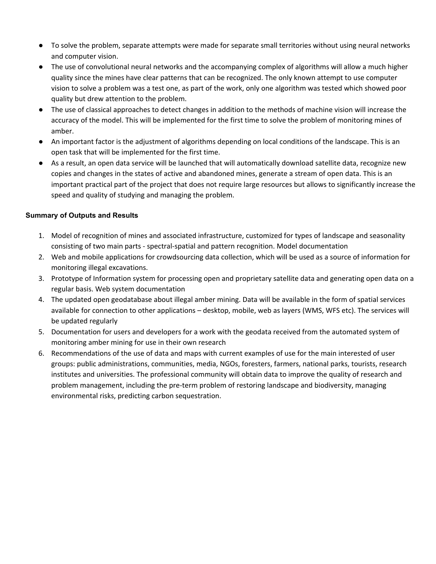- To solve the problem, separate attempts were made for separate small territories without using neural networks and computer vision.
- The use of convolutional neural networks and the accompanying complex of algorithms will allow a much higher quality since the mines have clear patterns that can be recognized. The only known attempt to use computer vision to solve a problem was a test one, as part of the work, only one algorithm was tested which showed poor quality but drew attention to the problem.
- The use of classical approaches to detect changes in addition to the methods of machine vision will increase the accuracy of the model. This will be implemented for the first time to solve the problem of monitoring mines of amber.
- An important factor is the adjustment of algorithms depending on local conditions of the landscape. This is an open task that will be implemented for the first time.
- As a result, an open data service will be launched that will automatically download satellite data, recognize new copies and changes in the states of active and abandoned mines, generate a stream of open data. This is an important practical part of the project that does not require large resources but allows to significantly increase the speed and quality of studying and managing the problem.

### **Summary of Outputs and Results**

- 1. Model of recognition of mines and associated infrastructure, customized for types of landscape and seasonality consisting of two main parts - spectral-spatial and pattern recognition. Model documentation
- 2. Web and mobile applications for crowdsourcing data collection, which will be used as a source of information for monitoring illegal excavations.
- 3. Prototype of Information system for processing open and proprietary satellite data and generating open data on a regular basis. Web system documentation
- 4. The updated open geodatabase about illegal amber mining. Data will be available in the form of spatial services available for connection to other applications – desktop, mobile, web as layers (WMS, WFS etc). The services will be updated regularly
- 5. Documentation for users and developers for a work with the geodata received from the automated system of monitoring amber mining for use in their own research
- 6. Recommendations of the use of data and maps with current examples of use for the main interested of user groups: public administrations, communities, media, NGOs, foresters, farmers, national parks, tourists, research institutes and universities. The professional community will obtain data to improve the quality of research and problem management, including the pre-term problem of restoring landscape and biodiversity, managing environmental risks, predicting carbon sequestration.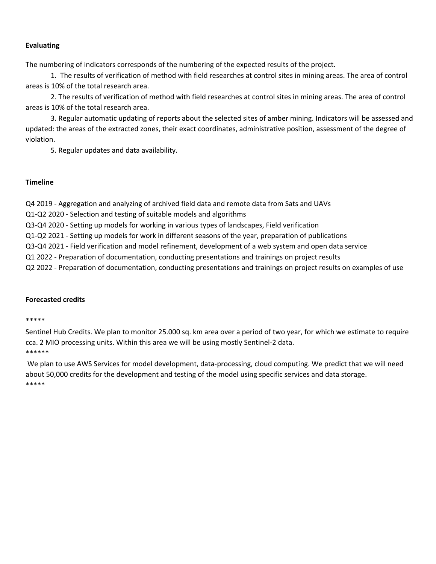#### **Evaluating**

The numbering of indicators corresponds of the numbering of the expected results of the project.

1. The results of verification of method with field researches at control sites in mining areas. The area of control areas is 10% of the total research area.

2. The results of verification of method with field researches at control sites in mining areas. The area of control areas is 10% of the total research area.

3. Regular automatic updating of reports about the selected sites of amber mining. Indicators will be assessed and updated: the areas of the extracted zones, their exact coordinates, administrative position, assessment of the degree of violation.

5. Regular updates and data availability.

#### **Timeline**

Q4 2019 - Aggregation and analyzing of archived field data and remote data from Sats and UAVs

Q1-Q2 2020 - Selection and testing of suitable models and algorithms

Q3-Q4 2020 - Setting up models for working in various types of landscapes, Field verification

Q1-Q2 2021 - Setting up models for work in different seasons of the year, preparation of publications

Q3-Q4 2021 - Field verification and model refinement, development of a web system and open data service

Q1 2022 - Preparation of documentation, conducting presentations and trainings on project results

Q2 2022 - Preparation of documentation, conducting presentations and trainings on project results on examples of use

### **Forecasted credits**

#### \*\*\*\*\*

Sentinel Hub Credits. We plan to monitor 25.000 sq. km area over a period of two year, for which we estimate to require cca. 2 MIO processing units. Within this area we will be using mostly Sentinel-2 data. \*\*\*\*\*\*

We plan to use AWS Services for model development, data-processing, cloud computing. We predict that we will need about 50,000 credits for the development and testing of the model using specific services and data storage. \*\*\*\*\*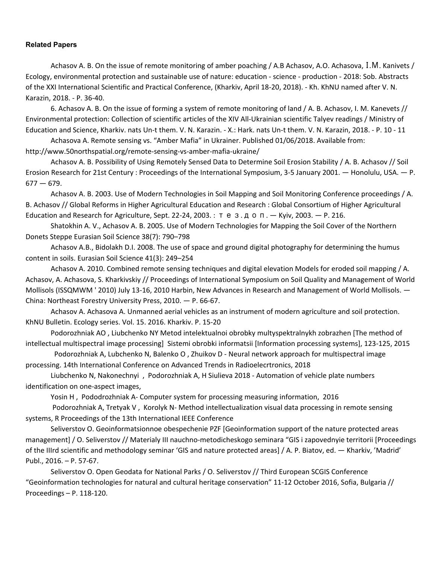#### **Related Papers**

Achasov A. B. On the issue of remote monitoring of amber poaching / A.B Achasov, A.O. Achasova, І.М. Kanivets / Ecology, environmental protection and sustainable use of nature: education - science - production - 2018: Sob. Abstracts of the XXI International Scientific and Practical Conference, (Kharkiv, April 18-20, 2018). - Kh. KhNU named after V. N. Karazin, 2018. - P. 36-40.

6. Achasov A. B. On the issue of forming a system of remote monitoring of land / A. B. Achasov, I. M. Kanevets // Environmental protection: Collection of scientific articles of the XIV All-Ukrainian scientific Talyev readings / Ministry of Education and Science, Kharkiv. nats Un-t them. V. N. Karazin. - X.: Hark. nats Un-t them. V. N. Karazin, 2018. - P. 10 - 11

Achasova A. Remote sensing vs. "Amber Mafia" in Ukrainer. Published 01/06/2018. Available from: http://www.50northspatial.org/remote-sensing-vs-amber-mafia-ukraine/

Achasov A. B. Possibility of Using Remotely Sensed Data to Determine Soil Erosion Stability / A. B. Achasov // Soil Erosion Research for 21st Century : Proceedings of the International Symposium, 3-5 January 2001. — Honolulu, USA. — P.  $677 - 679.$ 

Achasov A. B. 2003. Use of Modern Technologies in Soil Mapping and Soil Monitoring Conference proceedings / A. B. Achasov // Global Reforms in Higher Agricultural Education and Research : Global Consortium of Higher Agricultural Education and Research for Agriculture, Sept. 22-24, 2003. : тез.доп. - Kyiv, 2003. - P. 216.

Shatokhin A. V., Achasov A. B. 2005. Use of Modern Technologies for Mapping the Soil Cover of the Northern Donets Steppe Eurasian Soil Science 38(7): 790–798

Achasov A.B., Bidolakh D.I. 2008. The use of space and ground digital photography for determining the humus content in soils. Eurasian Soil Science 41(3): 249–254

Achasov A. 2010. Combined remote sensing techniques and digital elevation Models for eroded soil mapping / A. Achasov, A. Achasova, S. Kharkivskiy // Proceedings of International Symposium on Soil Quality and Management of World Mollisols (ISSQMWM ' 2010) July 13-16, 2010 Harbin, New Advances in Research and Management of World Mollisols.  $-$ China: Northeast Forestry University Press, 2010. — P. 66-67.

Achasov A. Achasova A. Unmanned aerial vehicles as an instrument of modern agriculture and soil protection. KhNU Bulletin. Ecology series. Vol. 15. 2016. Kharkiv. P. 15-20

Podorozhniak AO , Liubchenko NY Metod intelektualnoi obrobky multyspektralnykh zobrazhen [The method of intellectual multispectral image processing] Sistemi obrobki informatsii [Information processing systems], 123-125, 2015

Podorozhniak A, Lubchenko N, Balenko O , Zhuikov D - Neural network approach for multispectral image processing. 14th International Conference on Advanced Trends in Radioelecrtronics, 2018

Liubchenko N, Nakonechnyi , Podorozhniak A, H Siulieva 2018 - Automation of vehicle plate numbers identification on one-aspect images,

Yosin H, Pododrozhniak A- Computer system for processing measuring information, 2016

Podorozhniak A, Tretyak V , Korolyk N- Method intellectualization visual data processing in remote sensing systems, R Proceedings of the 13th International IEEE Conference

Seliverstov O. Geoinformatsionnoe obespechenie PZF [Geoinformation support of the nature protected areas management] / O. Seliverstov // Materialy III nauchno-metodicheskogo seminara "GIS i zapovednyie territorii [Proceedings of the IIIrd scientific and methodology seminar 'GIS and nature protected areas] / A. P. Biatov, ed. — Kharkiv, 'Madrid' Publ., 2016. – P. 57-67.

Seliverstov O. Open Geodata for National Parks / O. Seliverstov // Third European SCGIS Conference "Geoinformation technologies for natural and cultural heritage conservation" 11-12 October 2016, Sofia, Bulgaria // Proceedings – P. 118-120.